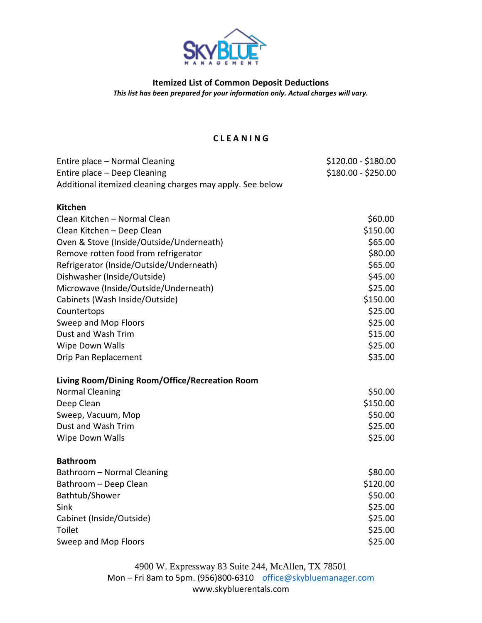

**Itemized List of Common Deposit Deductions** *This list has been prepared for your information only. Actual charges will vary.*

## **C L E A N I N G**

| Entire place - Normal Cleaning                            | \$120.00 - \$180.00 |
|-----------------------------------------------------------|---------------------|
| Entire place - Deep Cleaning                              | \$180.00 - \$250.00 |
| Additional itemized cleaning charges may apply. See below |                     |
|                                                           |                     |
| <b>Kitchen</b>                                            |                     |
| Clean Kitchen - Normal Clean                              | \$60.00             |
| Clean Kitchen - Deep Clean                                | \$150.00            |
| Oven & Stove (Inside/Outside/Underneath)                  | \$65.00             |
| Remove rotten food from refrigerator                      | \$80.00             |
| Refrigerator (Inside/Outside/Underneath)                  | \$65.00             |
| Dishwasher (Inside/Outside)                               | \$45.00             |
| Microwave (Inside/Outside/Underneath)                     | \$25.00             |
| Cabinets (Wash Inside/Outside)                            | \$150.00            |
| Countertops                                               | \$25.00             |
| Sweep and Mop Floors                                      | \$25.00             |
| Dust and Wash Trim                                        | \$15.00             |
| Wipe Down Walls                                           | \$25.00             |
| Drip Pan Replacement                                      | \$35.00             |
| Living Room/Dining Room/Office/Recreation Room            |                     |
| <b>Normal Cleaning</b>                                    | \$50.00             |
| Deep Clean                                                | \$150.00            |
| Sweep, Vacuum, Mop                                        | \$50.00             |
| Dust and Wash Trim                                        | \$25.00             |
| Wipe Down Walls                                           | \$25.00             |
| <b>Bathroom</b>                                           |                     |
|                                                           |                     |
| Bathroom - Normal Cleaning                                | \$80.00             |
| Bathroom - Deep Clean                                     | \$120.00            |
| Bathtub/Shower                                            | \$50.00             |
| Sink                                                      | \$25.00             |
| Cabinet (Inside/Outside)                                  | \$25.00             |
| <b>Toilet</b>                                             | \$25.00             |
| Sweep and Mop Floors                                      | \$25.00             |

4900 W. Expressway 83 Suite 244, McAllen, TX 78501 Mon – Fri 8am to 5pm. (956)800-6310 [office@skybluemanager.com](mailto:office@skybluemanager.com) www.skybluerentals.com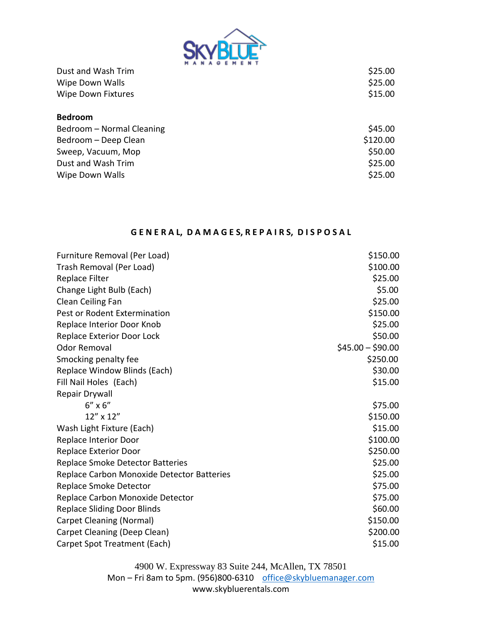

| Dust and Wash Trim        | \$25.00  |
|---------------------------|----------|
| Wipe Down Walls           | \$25.00  |
| <b>Wipe Down Fixtures</b> | \$15.00  |
| <b>Bedroom</b>            |          |
| Bedroom - Normal Cleaning | \$45.00  |
| Bedroom - Deep Clean      | \$120.00 |
| Sweep, Vacuum, Mop        | \$50.00  |
| Dust and Wash Trim        | \$25.00  |
| Wipe Down Walls           | \$25.00  |

## GENERAL, DAMAGES, REPAIRS, DISPOSAL

| Furniture Removal (Per Load)               | \$150.00          |
|--------------------------------------------|-------------------|
| Trash Removal (Per Load)                   | \$100.00          |
| Replace Filter                             | \$25.00           |
| Change Light Bulb (Each)                   | \$5.00            |
| Clean Ceiling Fan                          | \$25.00           |
| Pest or Rodent Extermination               | \$150.00          |
| Replace Interior Door Knob                 | \$25.00           |
| Replace Exterior Door Lock                 | \$50.00           |
| <b>Odor Removal</b>                        | $$45.00 - $90.00$ |
| Smocking penalty fee                       | \$250.00          |
| Replace Window Blinds (Each)               | \$30.00           |
| Fill Nail Holes (Each)                     | \$15.00           |
| Repair Drywall                             |                   |
| $6'' \times 6''$                           | \$75.00           |
| 12" x 12"                                  | \$150.00          |
| Wash Light Fixture (Each)                  | \$15.00           |
| Replace Interior Door                      | \$100.00          |
| Replace Exterior Door                      | \$250.00          |
| <b>Replace Smoke Detector Batteries</b>    | \$25.00           |
| Replace Carbon Monoxide Detector Batteries | \$25.00           |
| Replace Smoke Detector                     | \$75.00           |
| Replace Carbon Monoxide Detector           | \$75.00           |
| <b>Replace Sliding Door Blinds</b>         | \$60.00           |
| Carpet Cleaning (Normal)                   | \$150.00          |
| Carpet Cleaning (Deep Clean)               | \$200.00          |
| Carpet Spot Treatment (Each)               | \$15.00           |

4900 W. Expressway 83 Suite 244, McAllen, TX 78501 Mon – Fri 8am to 5pm. (956)800-6310 [office@skybluemanager.com](mailto:office@skybluemanager.com) www.skybluerentals.com